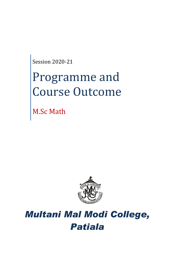Session 2020-21

# Programme and Course Outcome

M.Sc Math



## *Multani Mal Modi College, Patiala*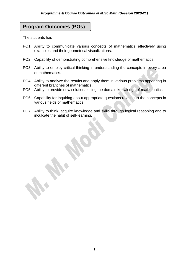### **Program Outcomes (POs)**

The students has

- PO1: Ability to communicate various concepts of mathematics effectively using examples and their geometrical visualizations.
- PO2: Capability of demonstrating comprehensive knowledge of mathematics.
- PO3: Ability to employ critical thinking in understanding the concepts in every area of mathematics.
- PO4: Ability to analyze the results and apply them in various problems appearing in different branches of mathematics.
- PO5: Ability to provide new solutions using the domain knowledge of mathematics
- PO6: Capability for inquiring about appropriate questions relating to the concepts in various fields of mathematics.
- PO7: Ability to think, acquire knowledge and skills through logical reasoning and to inculcate the habit of self-learning.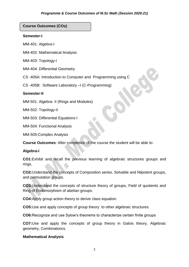**Course Outcomes (COs)**

#### **Semester-I**

MM-401: Algebra-I

MM-402: Mathematical Analysis

MM-403: Topology-I

MM-404: Differential Geometry

CS -405A: Introduction to Computer and Programming using C

CS -405B: Software Laboratory –I (C-Programming)

#### **Semester-II**

MM-501: Algebra- II (Rings and Modules)

MM-502: Topology-II

MM-503: Differential Equations-I

MM-504: Functional Analysis

MM-505:Complex Analysis

**Course Outcomes**: After completion of the course the student will be able to:

#### **Algebra-I**

**CO1**:Exhibit and recall the previous learning of algebraic structures groups and rings.

**CO2:**Understand the concepts of Composition series, Solvable and Nilpotent groups, and permutation groups.

**CO3:**Understand the concepts of structure theory of groups, Field of quotients and Ring of Endomorphism of abelian groups.

**CO4:**Apply group action theory to derive class equation.

**CO5:**Use and apply concepts of group theory to other algebraic structures.

**CO6:**Recognize and use Sylow's theorems to characterize certain finite groups

**CO7:**Use and apply the concepts of group theory in Galois theory, Algebraic geometry, Combinatorics.

#### **Mathematical Analysis**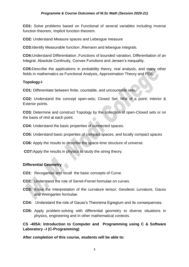#### *Programme & Course Outcomes of M.Sc Math (Session 2020-21)*

**CO1:** Solve problems based on Functional of several variables including Inverse function theorem, Implicit function theorem.

**CO2:** Understand Measure spaces and Lebesgue measure

**CO3:**Identify Measurable function ,Riemann and lebesgue integrals.

**CO4:**Understand Differentiation ,Functions of bounded variation, Differentiation of an Integral, Absolute Continuity, Convex Functions and Jensen's inequality.

**CO5:**Describe the applications in probability theory, real analysis, and many other fields in mathematics as Functional Analysis, Approximation Theory and PDE.

#### **Topology-I**

**CO1:** Differentiate between finite, countable, and uncountable sets.

**CO2:** Understand the concept open-sets; Closed Set; Nhd of a point; Interior & Exterior points.

**CO3:** Determine and construct Topology by the collection of open-Closed sets or on the basis of nhd at each point.

**CO4:** Understand the basic properties of connected spaces.

**CO5:** Understand basic properties of compact spaces, and locally compact spaces

**CO6:** Apply the results to describe the space-time structure of universe.

**CO7:**Apply the results in physics to study the string theory.

#### **Differential Geometry**

- **CO1**: Recoganise and recall the basic concepts of Curve.
- **CO2:** Understand the role of Serret-Frenet formulae on curves.
- **CO3:** Know the Interpretation of the curvature tensor, Geodesic curvature, Gauss and Weingarten formulae.
- **CO4:** Understand the role of Gauss's Theorema Egregium and its consequences.
- **CO5:** Apply problem-solving with differential geometry to diverse situations in physics, engineering and in other mathematical contexts.

**CS -405A: Introduction to Computer and Programming using C & Software Laboratory –I (C-Programming)**

**After completion of this course, students will be able to:**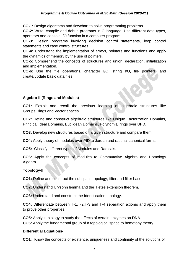#### *Programme & Course Outcomes of M.Sc Math (Session 2020-21)*

**CO-1:** Design algorithms and flowchart to solve programming problems.

**CO-2:** Write, compile and debug programs in C language. Use different data types, operators and console I/O function in a computer program.

**CO-3:** Design programs involving decision control statements, loop control statements and case control structures.

**CO-4:** Understand the implementation of arrays, pointers and functions and apply the dynamics of memory by the use of pointers.

**CO-5:** Comprehend the concepts of structures and union: declaration, initialization and implementation.

**CO-6:** Use the file operations, character I/O, string I/O, file pointers, and create/update basic data files.

#### **Algebra-II (Rings and Modules)**

**CO1:** Exhibit and recall the previous learning of algebraic structures like Groups,Rings and Vector spaces.

**CO2:** Define and construct algebraic structures like Unique Factorization Domains, Principal Ideal Domains, Euclidean Domains, Polynomial rings over UFD.

**CO3:** Develop new structures based on a given structure and compare them.

**CO4:** Apply theory of modules over PID to Jordan and rational canonical forms.

**CO5:** Classify different types of Modules and Radicals.

**CO6:** Apply the concepts of modules to Commutative Algebra and Homology Algebra.

#### **Topology-II**

**CO1:** Define and construct the subspace topology, filter and filter base.

**CO2:** Understand Urysohn lemma and the Tietze extension theorem.

**CO3:** Understand and construct the Identification topology.

**CO4:** Differentiate between T-1,T-2,T-3 and T-4 separation axioms and apply them to prove other properties.

**CO5:** Apply in biology to study the effects of certain enzymes on DNA. **CO6:** Apply the fundamental group of a topological space to homotopy theory.

#### **Differential Equations-I**

**CO1**: Know the concepts of existence, uniqueness and continuity of the solutions of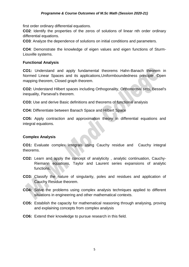first order ordinary differential equations.

**CO2**: Identify the properties of the zeros of solutions of linear nth order ordinary differential equations.

**CO3**: Analyze the dependence of solutions on initial conditions and parameters.

**CO4**: Demonstrate the knowledge of eigen values and eigen functions of Sturm-Liouville systems.

#### **Functional Analysis**

**CO1:** Understand and apply fundamental theorems Hahn-Banach theorem in Normed Linear Spaces and its applications,Uniformboundedness principle, Open mapping theorem, Closed graph theorem.

**CO2:** Understand Hilbert spaces including Orthogonality, Orthonormal sets, Bessel's inequality, Parseval's theorem.

**CO3:** Use and derive Basic definitions and theorems of functional analysis

**CO4:** Differentiate between Banach Space and Hilbert Space

**CO5:** Apply contraction and approximation theory in differential equations and integral equations.

#### **Complex Analysis**

**CO1:** Evaluate complex integrals using Cauchy residue and Cauchy integral theorems.

- **CO2:** Learn and apply the concept of analyticity , analytic continuation, Cauchy-Riemann equations, Taylor and Laurent series expansions of analytic functions,
- **CO3:** Classify the nature of singularity, poles and residues and application of Cauchy Residue theorem.
- **CO4:** Solve the problems using complex analysis techniques applied to different situations in engineering and other mathematical contexts.
- **CO5:** Establish the capacity for mathematical reasoning through analysing, proving and explaining concepts from complex analysis
- **CO6:** Extend their knowledge to pursue research in this field.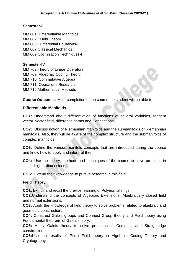#### **Semester-III**

MM 601 :Differentiable Manifolds MM 602 : Field Theory MM 603 : Differential Equations-II MM 607:Classical Mechanics MM 609: Optimization Techniques-I

#### **Semester-IV**

MM 702:Theory of Linear Operators MM 709: Algebraic Coding Theory MM 710: Commutative Algebra MM 711: Operations Research MM 716:Mathematical Methods

**Course Outcomes**: After completion of the course the student will be able to:

#### **Differentiable Manifolds**

**CO1:** Understand about differentiation of functions of several variables, tangent vector, vector field, differential forms and Connections.

**CO2:** DIscuss notion of Riemannian manifolds and the submanifolds of Riemannian manifolds. Also, they will be aware of the complex structure and the submanifolds of complex manifolds.

**CO3:** Define the various manifold concepts that are introduced during the course and know how to apply and interpret them.

**CO4:** Use the theory, methods and techniques of the course to solve problems in higher dimensions .

**CO5:** Extend their knowledge to pursue research in this field.

#### **Field Theory**

**CO1:** Exhibit and recall the previos learning of Polynomial rings.

**CO2:**Understand the concepts of Algebraic Extensions, Algebraically closed field and normal extensions.

**CO3:** Apply the knowledge of field theory to solve problems related to algebraic and geometric construction.

**CO4:** Construct Galois groups and Connect Group theory and Field theory using Fundamental theorem of Galois theory.

**CO5:** Apply Galois theory to solve problems in Compass and Straightedge construction.

**CO6:**Use the results of Finite Field theory in Algebraic Coding Theory and Cryptography.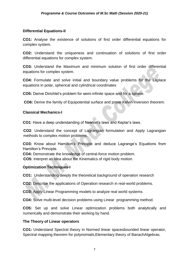#### **Differential Equations-II**

**CO1:** Analyse the existence of solutions of first order differential equations for complex system.

**CO2:** Understand the uniqueness and continuation of solutions of first order differential equations for complex system.

**CO3:** Understand the Maximum and minimum solution of first order differential equations for complex system.

**CO4:** Formulate and solve initial and boundary value problems for the Laplace equations in polar, spherical and cylindrical coordinates

**CO5:** Derive Dirichlet's problem for semi-infinite space and for a sphere.

**CO6:** Derive the family of Equipotential surface and prove Kelvin inversion theorem.

#### **Classical Mechanics-I**

**CO1**: Have a deep understanding of Newton's laws and Keplar's laws.

**CO2**: Understand the concept of Lagrangian formulation and Apply Lagrangian methods to complex motion problems.

**CO3:** Know about Hamilton's Principle and deduce Lagrange's Equations from Hamilton's Principle.

**CO4:** Demonstrate the knowledge of central-force motion problem.

**CO5:** Interpret an idea about the Kinematics of rigid body motion.

#### **Optimization Techniques-I**

**CO1:** Understanding deeply the theoretical background of operation research

**CO2:** Describe the applications of Operation research in real-world problems.

**CO3:** Apply Linear Programming models to analyze real world systems.

**CO4:** Solve multi-level decision problems using Linear programming method.

**CO5:** Set up and solve Linear optimization problems both analytically and numerically and demonstrate their working by hand.

#### **The Theory of Linear operators**

**CO1:** Understand Spectral theory in Normed linear spacesbounded linear operator, Spectral mapping theorem for polynomials,Elementary theory of BanachAlgebras.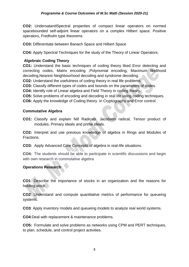**CO2:** UndersatandSpectral properties of compact linear operators on normed spacebounded self-adjoint linear operators on a complex Hilbert space. Positive operators, Fredholm type theorems.

**CO3:** Differentiate between Banach Space and Hilbert Space

**CO4:** Apply Spectral Techniques for the study of the Theory of Linear Operators.

#### **Algebraic Coding Theory**

**CO1:** Understand the basic techniques of coding theory liked Error detecting and correcting codes, Matrix encoding ,Polynomial encoding, Maximum likelihood decoding,Nearest Neighbourhood decoding and syndrome decoding.

**CO2:** Understand the usefulness of coding theory in real life problems

**CO3:** Classify different types of codes and bounds on the parameters of codes.

**CO4:** Identify role of Linear algebra and Field Theory in coding theory.

**CO5:** Solve problems of encoding and decoding in real life using coding techniques.

**CO6:** Apply the knowledge of Coding theory in Cryptography and Error control.

#### **Commutative Algebra**

**CO1:** Classify and explain Nill Radicals, Jacobson radical, Tensor product of modules, Primary ideals and prime ideals.

**CO2:** Interpret and use previous knowledge of algebra in Rings and Modules of Fractions.

**CO3:** Apply Advanced Core Concepts of algebra in real-life situations.

**CO4:** The students should be able to participate in scientific discussions and begin with own research in commutative algebra

#### **Operations Research**

**CO1**: Describe the importance of stocks in an organization and the reasons for holding stock.

**CO2**: Understand and compute quantitative metrics of performance for queueing systems.

**CO3**: Apply inventory models and queueing models to analyze real world systems.

**CO4**:Deal with replacement & maintenance problems.

**CO5:** Formulate and solve problems as networks using CPM and PERT techniques, to plan, schedule, and control project activities.